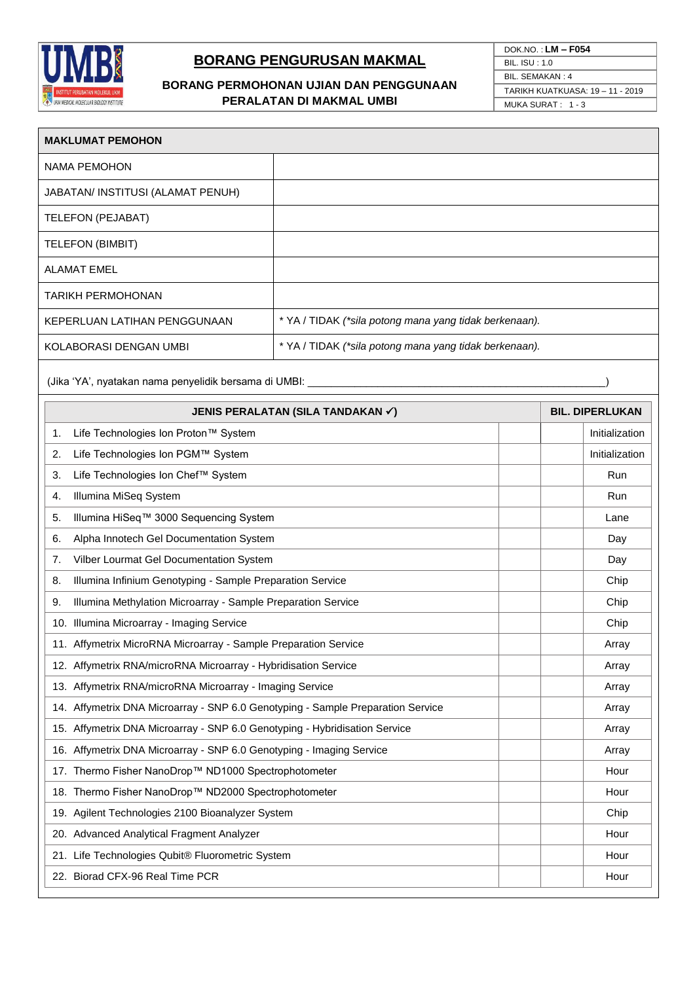

# **BORANG PENGURUSAN MAKMAL**

### **BORANG PERMOHONAN UJIAN DAN PENGGUNAAN PERALATAN DI MAKMAL UMBI**

| DOK.NO.: $LM - F054$             |
|----------------------------------|
| $BII$ $ISU \cdot 10$             |
| BIL SEMAKAN 4                    |
| TARIKH KUATKUASA: 19 - 11 - 2019 |
| MUKA SURAT: 1-3                  |
|                                  |

| <b>MAKLUMAT PEMOHON</b>                                                         |                                                        |                        |
|---------------------------------------------------------------------------------|--------------------------------------------------------|------------------------|
| <b>NAMA PEMOHON</b>                                                             |                                                        |                        |
| JABATAN/ INSTITUSI (ALAMAT PENUH)                                               |                                                        |                        |
| TELEFON (PEJABAT)                                                               |                                                        |                        |
| <b>TELEFON (BIMBIT)</b>                                                         |                                                        |                        |
| <b>ALAMAT EMEL</b>                                                              |                                                        |                        |
| TARIKH PERMOHONAN                                                               |                                                        |                        |
| KEPERLUAN LATIHAN PENGGUNAAN                                                    | * YA / TIDAK (*sila potong mana yang tidak berkenaan). |                        |
| KOLABORASI DENGAN UMBI                                                          | * YA / TIDAK (*sila potong mana yang tidak berkenaan). |                        |
| (Jika 'YA', nyatakan nama penyelidik bersama di UMBI: ________                  |                                                        |                        |
|                                                                                 | JENIS PERALATAN (SILA TANDAKAN V)                      | <b>BIL. DIPERLUKAN</b> |
| Life Technologies Ion Proton™ System<br>1.                                      |                                                        | Initialization         |
| Life Technologies Ion PGM™ System<br>2.                                         |                                                        | Initialization         |
| Life Technologies Ion Chef™ System<br>3.                                        |                                                        | Run                    |
| Illumina MiSeq System<br>4.                                                     |                                                        | Run                    |
| Illumina HiSeq™ 3000 Sequencing System<br>5.                                    |                                                        | Lane                   |
| Alpha Innotech Gel Documentation System<br>6.                                   |                                                        | Day                    |
| Vilber Lourmat Gel Documentation System<br>7.                                   |                                                        | Day                    |
| Illumina Infinium Genotyping - Sample Preparation Service<br>8.                 |                                                        | Chip                   |
| Illumina Methylation Microarray - Sample Preparation Service<br>9.              |                                                        | Chip                   |
| 10. Illumina Microarray - Imaging Service                                       |                                                        | Chip                   |
| 11. Affymetrix MicroRNA Microarray - Sample Preparation Service                 |                                                        | Array                  |
| 12. Affymetrix RNA/microRNA Microarray - Hybridisation Service                  |                                                        | Array                  |
| 13. Affymetrix RNA/microRNA Microarray - Imaging Service                        |                                                        | Array                  |
| 14. Affymetrix DNA Microarray - SNP 6.0 Genotyping - Sample Preparation Service |                                                        | Array                  |
| 15. Affymetrix DNA Microarray - SNP 6.0 Genotyping - Hybridisation Service      |                                                        | Array                  |
| 16. Affymetrix DNA Microarray - SNP 6.0 Genotyping - Imaging Service            |                                                        | Array                  |
| 17. Thermo Fisher NanoDrop™ ND1000 Spectrophotometer                            |                                                        | Hour                   |
| 18. Thermo Fisher NanoDrop™ ND2000 Spectrophotometer                            |                                                        | Hour                   |
| 19. Agilent Technologies 2100 Bioanalyzer System                                |                                                        | Chip                   |
| 20. Advanced Analytical Fragment Analyzer                                       |                                                        | Hour                   |
| 21. Life Technologies Qubit® Fluorometric System                                |                                                        | Hour                   |
| 22. Biorad CFX-96 Real Time PCR                                                 |                                                        | Hour                   |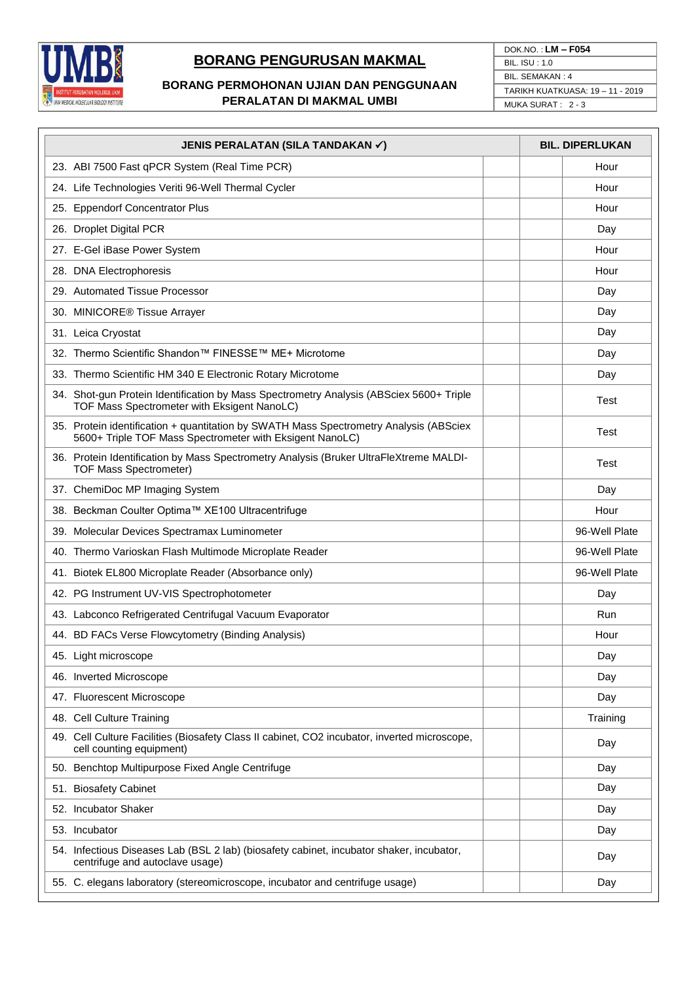

# **BORANG PENGURUSAN MAKMAL**

### **BORANG PERMOHONAN UJIAN DAN PENGGUNAAN PERALATAN DI MAKMAL UMBI**

| DOK.NO.: $LM - F054$             |  |
|----------------------------------|--|
| BIL. $ISU:1.0$                   |  |
| BIL. SEMAKAN: 4                  |  |
| TARIKH KUATKUASA: 19 - 11 - 2019 |  |
| MUKA SURAT: 2 - 3                |  |

| JENIS PERALATAN (SILA TANDAKAN√)                                                                                                                   | <b>BIL, DIPERLUKAN</b> |
|----------------------------------------------------------------------------------------------------------------------------------------------------|------------------------|
| 23. ABI 7500 Fast qPCR System (Real Time PCR)                                                                                                      | Hour                   |
| 24. Life Technologies Veriti 96-Well Thermal Cycler                                                                                                | Hour                   |
| 25. Eppendorf Concentrator Plus                                                                                                                    | Hour                   |
| 26. Droplet Digital PCR                                                                                                                            | Day                    |
| 27. E-Gel iBase Power System                                                                                                                       | Hour                   |
| 28. DNA Electrophoresis                                                                                                                            | Hour                   |
| 29. Automated Tissue Processor                                                                                                                     | Day                    |
| 30. MINICORE® Tissue Arrayer                                                                                                                       | Day                    |
| 31. Leica Cryostat                                                                                                                                 | Day                    |
| 32. Thermo Scientific Shandon™ FINESSE™ ME+ Microtome                                                                                              | Day                    |
| 33. Thermo Scientific HM 340 E Electronic Rotary Microtome                                                                                         | Day                    |
| 34. Shot-gun Protein Identification by Mass Spectrometry Analysis (ABSciex 5600+ Triple<br>TOF Mass Spectrometer with Eksigent NanoLC)             | Test                   |
| 35. Protein identification + quantitation by SWATH Mass Spectrometry Analysis (ABSciex<br>5600+ Triple TOF Mass Spectrometer with Eksigent NanoLC) | Test                   |
| 36. Protein Identification by Mass Spectrometry Analysis (Bruker UltraFleXtreme MALDI-<br><b>TOF Mass Spectrometer)</b>                            | Test                   |
| 37. ChemiDoc MP Imaging System                                                                                                                     | Day                    |
| 38. Beckman Coulter Optima™ XE100 Ultracentrifuge                                                                                                  | Hour                   |
| 39. Molecular Devices Spectramax Luminometer                                                                                                       | 96-Well Plate          |
| 40. Thermo Varioskan Flash Multimode Microplate Reader                                                                                             | 96-Well Plate          |
| 41. Biotek EL800 Microplate Reader (Absorbance only)                                                                                               | 96-Well Plate          |
| 42. PG Instrument UV-VIS Spectrophotometer                                                                                                         | Day                    |
| 43. Labconco Refrigerated Centrifugal Vacuum Evaporator                                                                                            | Run                    |
| 44. BD FACs Verse Flowcytometry (Binding Analysis)                                                                                                 | Hour                   |
| 45. Light microscope                                                                                                                               | Day                    |
| 46. Inverted Microscope                                                                                                                            | Day                    |
| 47. Fluorescent Microscope                                                                                                                         | Day                    |
| 48. Cell Culture Training                                                                                                                          | Training               |
| 49. Cell Culture Facilities (Biosafety Class II cabinet, CO2 incubator, inverted microscope,<br>cell counting equipment)                           | Day                    |
| 50. Benchtop Multipurpose Fixed Angle Centrifuge                                                                                                   | Day                    |
| 51. Biosafety Cabinet                                                                                                                              | Day                    |
| 52. Incubator Shaker                                                                                                                               | Day                    |
| 53. Incubator                                                                                                                                      | Day                    |
| 54. Infectious Diseases Lab (BSL 2 lab) (biosafety cabinet, incubator shaker, incubator,<br>centrifuge and autoclave usage)                        | Day                    |
| 55. C. elegans laboratory (stereomicroscope, incubator and centrifuge usage)                                                                       | Day                    |